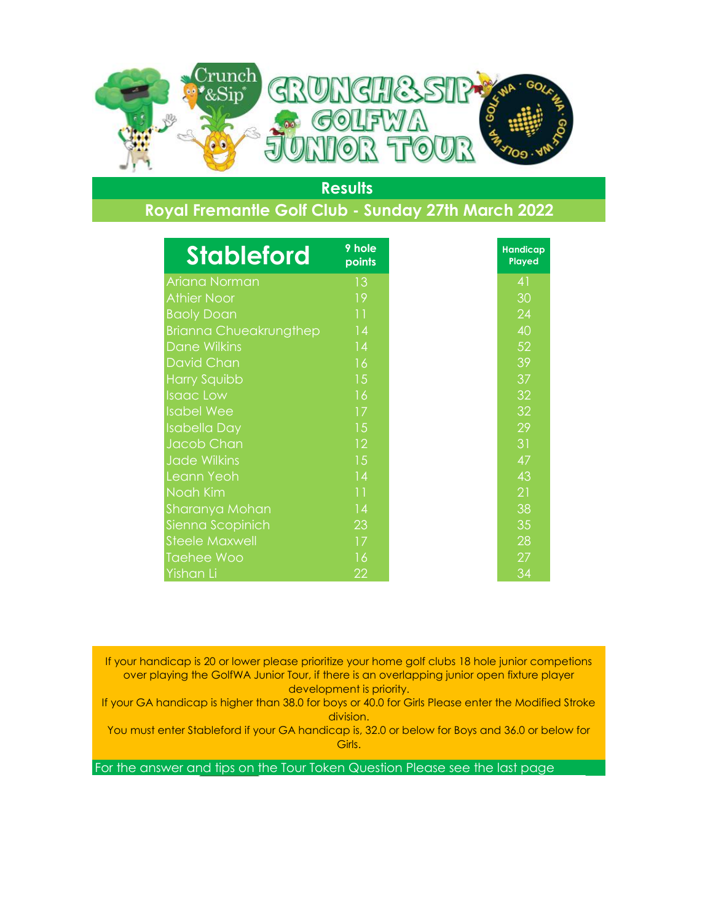

## **Royal Fremantle Golf Club - Sunday 27th March 2022**

| <b>Stableford</b>             | 9 hole<br>points |
|-------------------------------|------------------|
| Ariana Norman                 | 13               |
| <b>Athier Noor</b>            | 19               |
| <b>Baoly Doan</b>             | 11               |
| <b>Brianna Chueakrungthep</b> | 14               |
| <b>Dane Wilkins</b>           | 14               |
| <b>David Chan</b>             | 16               |
| <b>Harry Squibb</b>           | 15               |
| <b>Isaac Low</b>              | 16               |
| <b>Isabel Wee</b>             | 17               |
| <b>Isabella Day</b>           | 15               |
| Jacob Chan                    | 12               |
| <b>Jade Wilkins</b>           | 15               |
| Leann Yeoh                    | 14               |
| Noah Kim                      | 11               |
| Sharanya Mohan                | 14               |
| Sienna Scopinich              | 23               |
| <b>Steele Maxwell</b>         | 17               |
| <b>Taehee Woo</b>             | 16               |
| Yishan Li                     | 22               |

If your handicap is 20 or lower please prioritize your home golf clubs 18 hole junior competions over playing the GolfWA Junior Tour, if there is an overlapping junior open fixture player development is priority.

If your GA handicap is higher than 38.0 for boys or 40.0 for Girls Please enter the Modified Stroke division.

You must enter Stableford if your GA handicap is, 32.0 or below for Boys and 36.0 or below for Girls.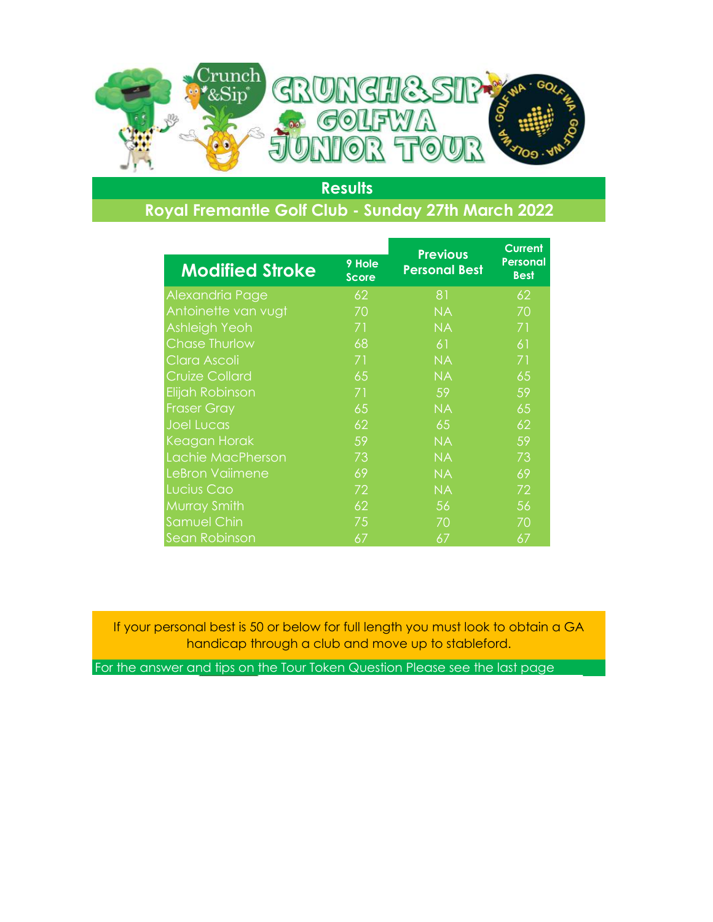

# **Royal Fremantle Golf Club - Sunday 27th March 2022**

|                        |                        | <b>Previous</b>      | <b>Current</b><br><b>Personal</b><br><b>Best</b> |
|------------------------|------------------------|----------------------|--------------------------------------------------|
| <b>Modified Stroke</b> | 9 Hole<br><b>Score</b> | <b>Personal Best</b> |                                                  |
| Alexandria Page        | 62                     | 81                   | 62                                               |
| Antoinette van vugt    | 70                     | <b>NA</b>            | 70                                               |
| Ashleigh Yeoh          | 71                     | <b>NA</b>            | 71                                               |
| <b>Chase Thurlow</b>   | 68                     | 61                   | 61                                               |
| Clara Ascoli           | 71                     | <b>NA</b>            | 71                                               |
| <b>Cruize Collard</b>  | 65                     | <b>NA</b>            | 65                                               |
| Elijah Robinson        | 71                     | 59                   | 59                                               |
| <b>Fraser Gray</b>     | 65                     | <b>NA</b>            | 65                                               |
| <b>Joel Lucas</b>      | 62                     | 65                   | 62                                               |
| Keagan Horak           | 59                     | <b>NA</b>            | 59                                               |
| Lachie MacPherson      | 73                     | <b>NA</b>            | 73                                               |
| LeBron Vaiimene        | 69                     | <b>NA</b>            | 69                                               |
| Lucius Cao             | 72                     | <b>NA</b>            | 72                                               |
| Murray Smith           | 62                     | 56                   | 56                                               |
| <b>Samuel Chin</b>     | 75                     | 70                   | 70                                               |
| Sean Robinson          | 67                     | 67                   | 67                                               |

If your personal best is 50 or below for full length you must look to obtain a GA handicap through a club and move up to stableford.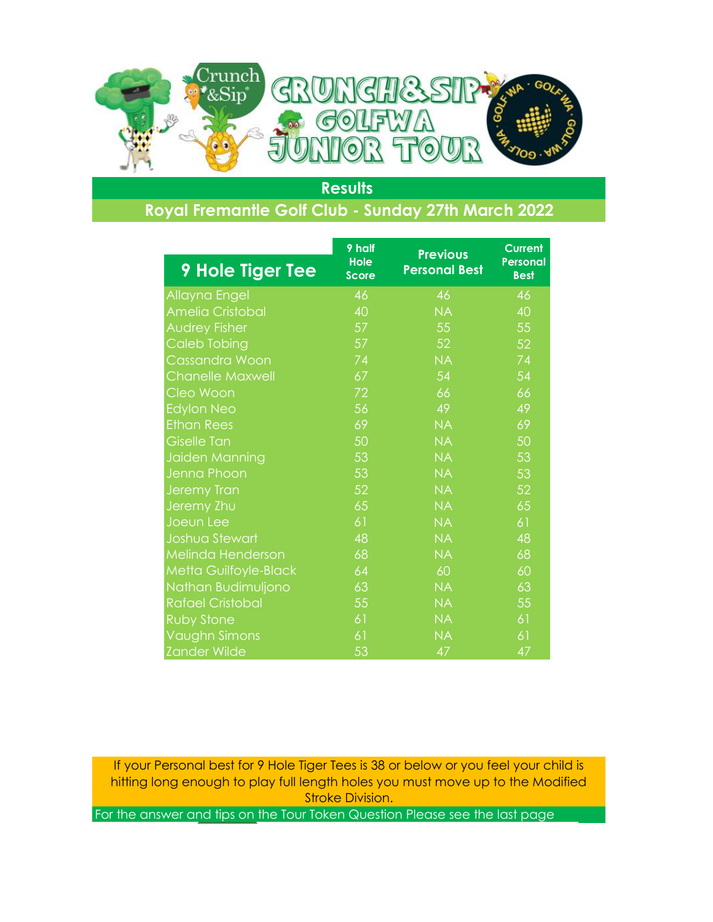

### **Royal Fremantle Golf Club - Sunday 27th March 2022**

|                         | 9 half                      | <b>Previous</b>      | <b>Current</b>                 |
|-------------------------|-----------------------------|----------------------|--------------------------------|
| <b>9 Hole Tiger Tee</b> | <b>Hole</b><br><b>Score</b> | <b>Personal Best</b> | <b>Personal</b><br><b>Best</b> |
| Allayna Engel           | 46                          | 46                   | 46                             |
| <b>Amelia Cristobal</b> | 40                          | <b>NA</b>            | 40                             |
| <b>Audrey Fisher</b>    | 57                          | 55                   | 55                             |
| <b>Caleb Tobing</b>     | 57                          | 52                   | 52                             |
| <b>Cassandra Woon</b>   | 74                          | <b>NA</b>            | 74                             |
| <b>Chanelle Maxwell</b> | 67                          | 54                   | 54                             |
| Cleo Woon               | 72                          | 66                   | 66                             |
| <b>Edylon Neo</b>       | 56                          | 49                   | 49                             |
| <b>Ethan Rees</b>       | 69                          | <b>NA</b>            | 69                             |
| <b>Giselle Tan</b>      | 50                          | <b>NA</b>            | 50                             |
| Jaiden Manning          | 53                          | <b>NA</b>            | 53                             |
| Jenna Phoon             | 53                          | <b>NA</b>            | 53                             |
| <b>Jeremy Tran</b>      | 52                          | <b>NA</b>            | 52                             |
| Jeremy Zhu              | 65                          | <b>NA</b>            | 65                             |
| Joeun Lee               | 61                          | <b>NA</b>            | 61                             |
| Joshua Stewart          | 48                          | <b>NA</b>            | 48                             |
| Melinda Henderson       | 68                          | <b>NA</b>            | 68                             |
| Metta Guilfoyle-Black   | 64                          | 60                   | 60                             |
| Nathan Budimuljono      | 63                          | <b>NA</b>            | 63                             |
| <b>Rafael Cristobal</b> | 55                          | <b>NA</b>            | 55                             |
| <b>Ruby Stone</b>       | 61                          | <b>NA</b>            | 61                             |
| Vaughn Simons           | 61                          | <b>NA</b>            | 61                             |
| <b>Zander Wilde</b>     | 53                          | 47                   | 47                             |

If your Personal best for 9 Hole Tiger Tees is 38 or below or you feel your child is hitting long enough to play full length holes you must move up to the Modified Stroke Division.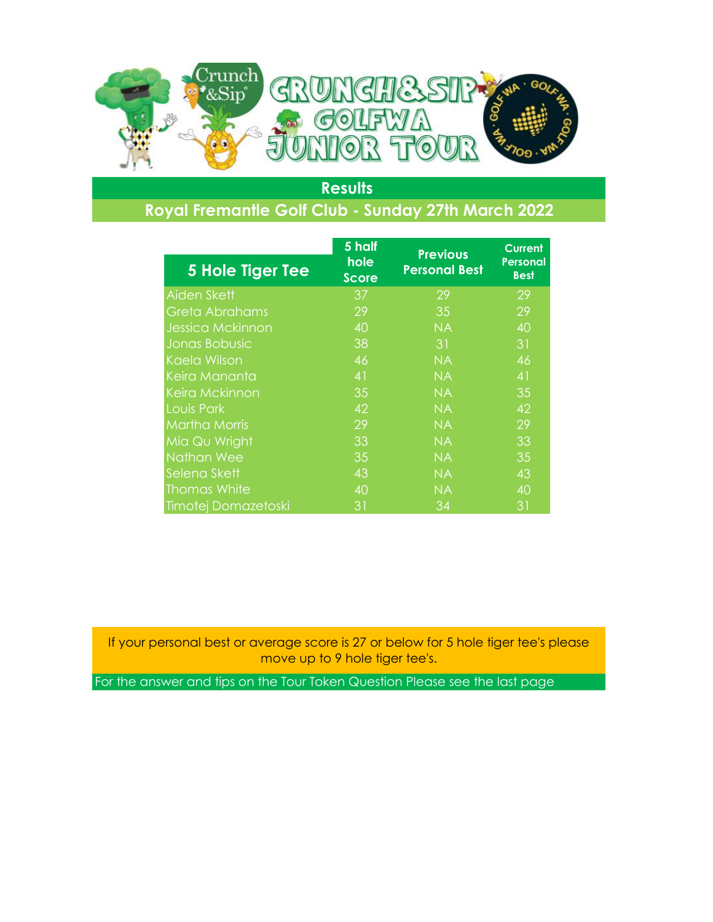

## **Royal Fremantle Golf Club - Sunday 27th March 2022**

|                         | $5$ half<br>hole | <b>Previous</b>      | <b>Current</b><br><b>Personal</b> |
|-------------------------|------------------|----------------------|-----------------------------------|
| 5 Hole Tiger Tee        | <b>Score</b>     | <b>Personal Best</b> | <b>Best</b>                       |
| Aiden Skett             | 37               | 29                   | 29                                |
| Greta Abrahams          | 29               | 35                   | 29                                |
| <b>Jessica Mckinnon</b> | 40               | <b>NA</b>            | 40                                |
| Jonas Bobusic           | 38               | 31                   | 31                                |
| Kaela Wilson            | 46               | <b>NA</b>            | 46                                |
| Keira Mananta           | 41               | <b>NA</b>            | 41                                |
| <b>Keira Mckinnon</b>   | 35               | <b>NA</b>            | 35                                |
| Louis Park              | 42               | <b>NA</b>            | 42                                |
| <b>Martha Morris</b>    | 29               | <b>NA</b>            | 29                                |
| Mia Qu Wright           | 33               | <b>NA</b>            | 33                                |
| <b>Nathan Wee</b>       | 35               | <b>NA</b>            | 35                                |
| Selena Skett            | 43               | <b>NA</b>            | 43                                |
| <b>Thomas White</b>     | 40               | <b>NA</b>            | 40                                |
| Timotej Domazetoski     | 31               | 34                   | 31                                |

If your personal best or average score is 27 or below for 5 hole tiger tee's please move up to 9 hole tiger tee's.